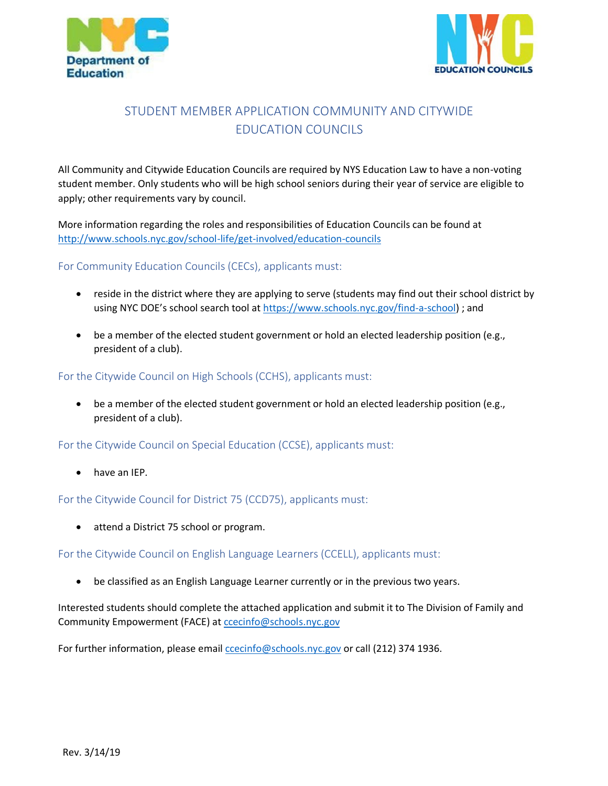



# STUDENT MEMBER APPLICATION COMMUNITY AND CITYWIDE EDUCATION COUNCILS

All Community and Citywide Education Councils are required by NYS Education Law to have a non-voting student member. Only students who will be high school seniors during their year of service are eligible to apply; other requirements vary by council.

More information regarding the roles and responsibilities of Education Councils can be found at <http://www.schools.nyc.gov/school-life/get-involved/education-councils>

#### For Community Education Councils (CECs), applicants must:

- reside in the district where they are applying to serve (students may find out their school district by using NYC DOE's school search tool at [https://www.schools.nyc.gov/find-a-school\)](https://www.schools.nyc.gov/find-a-school) ; and
- be a member of the elected student government or hold an elected leadership position (e.g., president of a club).

### For the Citywide Council on High Schools (CCHS), applicants must:

• be a member of the elected student government or hold an elected leadership position (e.g., president of a club).

For the Citywide Council on Special Education (CCSE), applicants must:

have an IEP.

#### For the Citywide Council for District 75 (CCD75), applicants must:

• attend a District 75 school or program.

For the Citywide Council on English Language Learners (CCELL), applicants must:

• be classified as an English Language Learner currently or in the previous two years.

Interested students should complete the attached application and submit it to The Division of Family and Community Empowerment (FACE) at [ccecinfo@schools.nyc.gov](mailto:ccecinfo@schools.nyc.gov)

For further information, please email contribution of should investor or call (212) 374 1936.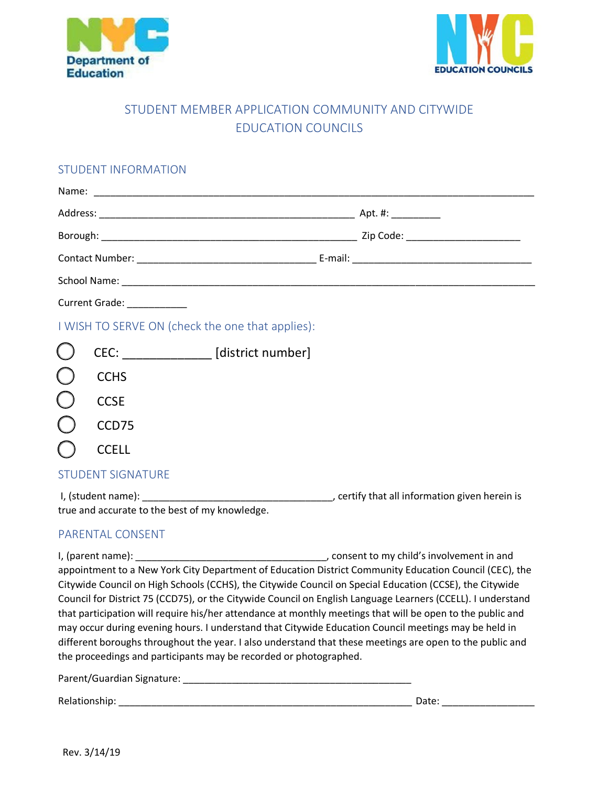



## STUDENT MEMBER APPLICATION COMMUNITY AND CITYWIDE EDUCATION COUNCILS

## STUDENT INFORMATION

| Current Grade: __________                        |                                       |  |  |  |  |
|--------------------------------------------------|---------------------------------------|--|--|--|--|
| I WISH TO SERVE ON (check the one that applies): |                                       |  |  |  |  |
|                                                  | CEC: ______________ [district number] |  |  |  |  |
|                                                  | <b>CCHS</b>                           |  |  |  |  |
|                                                  | <b>CCSE</b>                           |  |  |  |  |
|                                                  | CCD75                                 |  |  |  |  |
|                                                  | <b>CCELL</b>                          |  |  |  |  |
| <b>STUDENT SIGNATURE</b>                         |                                       |  |  |  |  |

I, (student name): \_\_\_\_\_\_\_\_\_\_\_\_\_\_\_\_\_\_\_\_\_\_\_\_\_\_\_\_\_\_\_\_\_\_\_, certify that all information given herein is true and accurate to the best of my knowledge.

## PARENTAL CONSENT

I, (parent name): \_\_\_\_\_\_\_\_\_\_\_\_\_\_\_\_\_\_\_\_\_\_\_\_\_\_\_\_\_\_\_\_\_\_\_, consent to my child's involvement in and appointment to a New York City Department of Education District Community Education Council (CEC), the Citywide Council on High Schools (CCHS), the Citywide Council on Special Education (CCSE), the Citywide Council for District 75 (CCD75), or the Citywide Council on English Language Learners (CCELL). I understand that participation will require his/her attendance at monthly meetings that will be open to the public and may occur during evening hours. I understand that Citywide Education Council meetings may be held in different boroughs throughout the year. I also understand that these meetings are open to the public and the proceedings and participants may be recorded or photographed.

Parent/Guardian Signature: \_\_\_\_\_\_\_\_\_\_\_\_\_\_\_\_\_\_\_\_\_\_\_\_\_\_\_\_\_\_\_\_\_\_\_\_\_\_\_\_\_\_

Relationship: \_\_\_\_\_\_\_\_\_\_\_\_\_\_\_\_\_\_\_\_\_\_\_\_\_\_\_\_\_\_\_\_\_\_\_\_\_\_\_\_\_\_\_\_\_\_\_\_\_\_\_\_\_\_ Date: \_\_\_\_\_\_\_\_\_\_\_\_\_\_\_\_\_